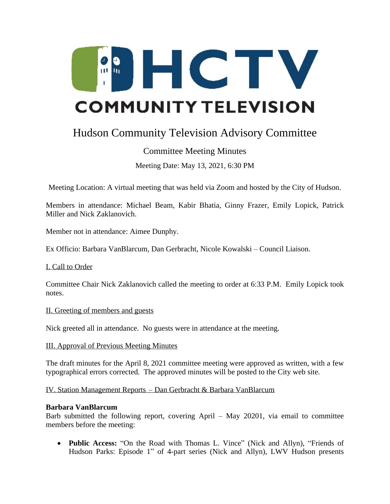

# Hudson Community Television Advisory Committee

# Committee Meeting Minutes

Meeting Date: May 13, 2021, 6:30 PM

Meeting Location: A virtual meeting that was held via Zoom and hosted by the City of Hudson.

Members in attendance: Michael Beam, Kabir Bhatia, Ginny Frazer, Emily Lopick, Patrick Miller and Nick Zaklanovich.

Member not in attendance: Aimee Dunphy.

Ex Officio: Barbara VanBlarcum, Dan Gerbracht, Nicole Kowalski – Council Liaison.

I. Call to Order

Committee Chair Nick Zaklanovich called the meeting to order at 6:33 P.M. Emily Lopick took notes.

#### II. Greeting of members and guests

Nick greeted all in attendance. No guests were in attendance at the meeting.

III. Approval of Previous Meeting Minutes

The draft minutes for the April 8, 2021 committee meeting were approved as written, with a few typographical errors corrected. The approved minutes will be posted to the City web site.

IV. Station Management Reports – Dan Gerbracht & Barbara VanBlarcum

#### **Barbara VanBlarcum**

Barb submitted the following report, covering April – May 20201, via email to committee members before the meeting:

 **Public Access:** "On the Road with Thomas L. Vince" (Nick and Allyn), "Friends of Hudson Parks: Episode 1" of 4-part series (Nick and Allyn), LWV Hudson presents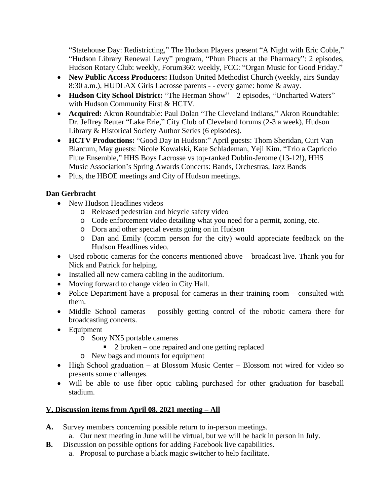"Statehouse Day: Redistricting," The Hudson Players present "A Night with Eric Coble," "Hudson Library Renewal Levy" program, "Phun Phacts at the Pharmacy": 2 episodes, Hudson Rotary Club: weekly, Forum360: weekly, FCC: "Organ Music for Good Friday."

- **New Public Access Producers:** Hudson United Methodist Church (weekly, airs Sunday 8:30 a.m.), HUDLAX Girls Lacrosse parents - - every game: home & away.
- **Hudson City School District:** "The Herman Show" 2 episodes, "Uncharted Waters" with Hudson Community First & HCTV.
- **Acquired:** Akron Roundtable: Paul Dolan "The Cleveland Indians," Akron Roundtable: Dr. Jeffrey Reuter "Lake Erie," City Club of Cleveland forums (2-3 a week), Hudson Library & Historical Society Author Series (6 episodes).
- **HCTV Productions:** "Good Day in Hudson:" April guests: Thom Sheridan, Curt Van Blarcum, May guests: Nicole Kowalski, Kate Schlademan, Yeji Kim. "Trio a Capriccio Flute Ensemble," HHS Boys Lacrosse vs top-ranked Dublin-Jerome (13-12!), HHS Music Association's Spring Awards Concerts: Bands, Orchestras, Jazz Bands
- Plus, the HBOE meetings and City of Hudson meetings.

### **Dan Gerbracht**

- New Hudson Headlines videos
	- o Released pedestrian and bicycle safety video
	- o Code enforcement video detailing what you need for a permit, zoning, etc.
	- o Dora and other special events going on in Hudson
	- o Dan and Emily (comm person for the city) would appreciate feedback on the Hudson Headlines video.
- Used robotic cameras for the concerts mentioned above broadcast live. Thank you for Nick and Patrick for helping.
- Installed all new camera cabling in the auditorium.
- Moving forward to change video in City Hall.
- Police Department have a proposal for cameras in their training room consulted with them.
- Middle School cameras possibly getting control of the robotic camera there for broadcasting concerts.
- Equipment
	- o Sony NX5 portable cameras
		- $\blacksquare$  2 broken one repaired and one getting replaced
	- o New bags and mounts for equipment
- High School graduation at Blossom Music Center Blossom not wired for video so presents some challenges.
- Will be able to use fiber optic cabling purchased for other graduation for baseball stadium.

# **V. Discussion items from April 08, 2021 meeting – All**

- **A.** Survey members concerning possible return to in-person meetings.
	- a. Our next meeting in June will be virtual, but we will be back in person in July.
- **B.** Discussion on possible options for adding Facebook live capabilities.
	- a. Proposal to purchase a black magic switcher to help facilitate.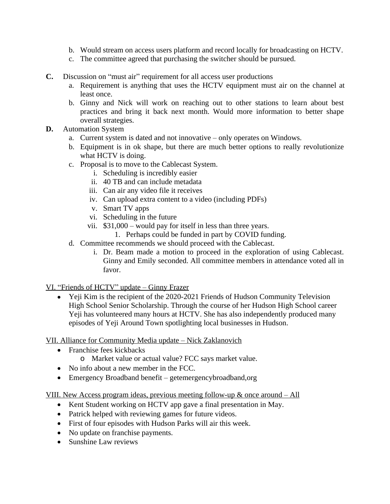- b. Would stream on access users platform and record locally for broadcasting on HCTV.
- c. The committee agreed that purchasing the switcher should be pursued.
- **C.** Discussion on "must air" requirement for all access user productions
	- a. Requirement is anything that uses the HCTV equipment must air on the channel at least once.
	- b. Ginny and Nick will work on reaching out to other stations to learn about best practices and bring it back next month. Would more information to better shape overall strategies.
- **D.** Automation System
	- a. Current system is dated and not innovative only operates on Windows.
	- b. Equipment is in ok shape, but there are much better options to really revolutionize what HCTV is doing.
	- c. Proposal is to move to the Cablecast System.
		- i. Scheduling is incredibly easier
		- ii. 40 TB and can include metadata
		- iii. Can air any video file it receives
		- iv. Can upload extra content to a video (including PDFs)
		- v. Smart TV apps
		- vi. Scheduling in the future
		- vii. \$31,000 would pay for itself in less than three years.
			- 1. Perhaps could be funded in part by COVID funding.
	- d. Committee recommends we should proceed with the Cablecast.
		- i. Dr. Beam made a motion to proceed in the exploration of using Cablecast. Ginny and Emily seconded. All committee members in attendance voted all in favor.

VI. "Friends of HCTV" update – Ginny Frazer

• Yeji Kim is the recipient of the 2020-2021 Friends of Hudson Community Television High School Senior Scholarship. Through the course of her Hudson High School career Yeji has volunteered many hours at HCTV. She has also independently produced many episodes of Yeji Around Town spotlighting local businesses in Hudson.

VII. Alliance for Community Media update – Nick Zaklanovich

- Franchise fees kickbacks
	- o Market value or actual value? FCC says market value.
- No info about a new member in the FCC.
- Emergency Broadband benefit getemergencybroadband,org

VIII. New Access program ideas, previous meeting follow-up & once around – All

- Kent Student working on HCTV app gave a final presentation in May.
- Patrick helped with reviewing games for future videos.
- First of four episodes with Hudson Parks will air this week.
- No update on franchise payments.
- Sunshine Law reviews